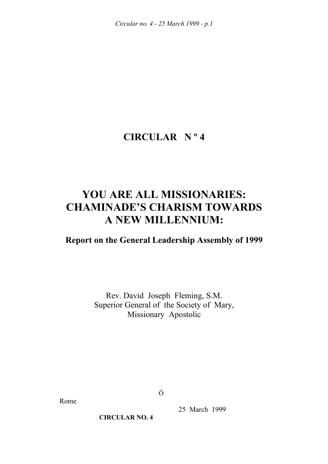*Circular no. 4 - 25 March 1999 - p.1* 

# **CIRCULAR N º 4**

# **YOU ARE ALL MISSIONARIES: CHAMINADE'S CHARISM TOWARDS A NEW MILLENNIUM:**

# **Report on the General Leadership Assembly of 1999**

Rev. David Joseph Fleming, S.M. Superior General of the Society of Mary, Missionary Apostolic

Rome

Ö

25 March 1999

**CIRCULAR NO. 4**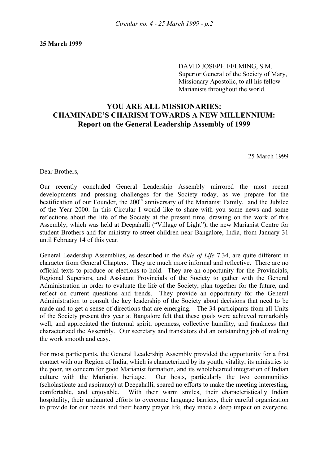DAVID JOSEPH FELMING, S.M. Superior General of the Society of Mary, Missionary Apostolic, to all his fellow Marianists throughout the world.

# **YOU ARE ALL MISSIONARIES: CHAMINADE'S CHARISM TOWARDS A NEW MILLENNIUM: Report on the General Leadership Assembly of 1999**

25 March 1999

Dear Brothers,

Our recently concluded General Leadership Assembly mirrored the most recent developments and pressing challenges for the Society today, as we prepare for the beatification of our Founder, the  $200<sup>th</sup>$  anniversary of the Marianist Family, and the Jubilee of the Year 2000. In this Circular I would like to share with you some news and some reflections about the life of the Society at the present time, drawing on the work of this Assembly, which was held at Deepahalli ("Village of Light"), the new Marianist Centre for student Brothers and for ministry to street children near Bangalore, India, from January 31 until February 14 of this year.

General Leadership Assemblies, as described in the *Rule of Life* 7.34, are quite different in character from General Chapters. They are much more informal and reflective. There are no official texts to produce or elections to hold. They are an opportunity for the Provincials, Regional Superiors, and Assistant Provincials of the Society to gather with the General Administration in order to evaluate the life of the Society, plan together for the future, and reflect on current questions and trends. They provide an opportunity for the General Administration to consult the key leadership of the Society about decisions that need to be made and to get a sense of directions that are emerging. The 34 participants from all Units of the Society present this year at Bangalore felt that these goals were achieved remarkably well, and appreciated the fraternal spirit, openness, collective humility, and frankness that characterized the Assembly. Our secretary and translators did an outstanding job of making the work smooth and easy.

For most participants, the General Leadership Assembly provided the opportunity for a first contact with our Region of India, which is characterized by its youth, vitality, its ministries to the poor, its concern for good Marianist formation, and its wholehearted integration of Indian culture with the Marianist heritage. Our hosts, particularly the two communities (scholasticate and aspirancy) at Deepahalli, spared no efforts to make the meeting interesting, comfortable, and enjoyable. With their warm smiles, their characteristically Indian hospitality, their undaunted efforts to overcome language barriers, their careful organization to provide for our needs and their hearty prayer life, they made a deep impact on everyone.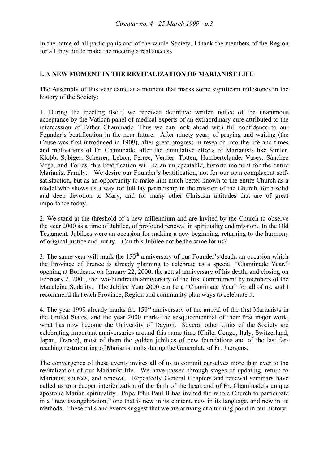In the name of all participants and of the whole Society, I thank the members of the Region for all they did to make the meeting a real success.

# **I. A NEW MOMENT IN THE REVITALIZATION OF MARIANIST LIFE**

The Assembly of this year came at a moment that marks some significant milestones in the history of the Society:

1. During the meeting itself, we received definitive written notice of the unanimous acceptance by the Vatican panel of medical experts of an extraordinary cure attributed to the intercession of Father Chaminade. Thus we can look ahead with full confidence to our Founder's beatification in the near future. After ninety years of praying and waiting (the Cause was first introduced in 1909), after great progress in research into the life and times and motivations of Fr. Chaminade, after the cumulative efforts of Marianists like Simler, Klobb, Subiger, Scherrer, Lebon, Ferree, Verrier, Totten, Humbertclaude, Vasey, Sánchez Vega, and Torres, this beatification will be an unrepeatable, historic moment for the entire Marianist Family. We desire our Founder's beatification, not for our own complacent selfsatisfaction, but as an opportunity to make him much better known to the entire Church as a model who shows us a way for full lay partnership in the mission of the Church, for a solid and deep devotion to Mary, and for many other Christian attitudes that are of great importance today.

2. We stand at the threshold of a new millennium and are invited by the Church to observe the year 2000 as a time of Jubilee, of profound renewal in spirituality and mission. In the Old Testament, Jubilees were an occasion for making a new beginning, returning to the harmony of original justice and purity. Can this Jubilee not be the same for us?

3. The same year will mark the  $150<sup>th</sup>$  anniversary of our Founder's death, an occasion which the Province of France is already planning to celebrate as a special "Chaminade Year," opening at Bordeaux on January 22, 2000, the actual anniversary of his death, and closing on February 2, 2001, the two-hundredth anniversary of the first commitment by members of the Madeleine Sodality. The Jubilee Year 2000 can be a "Chaminade Year" for all of us, and I recommend that each Province, Region and community plan ways to celebrate it.

4. The year 1999 already marks the  $150<sup>th</sup>$  anniversary of the arrival of the first Marianists in the United States, and the year 2000 marks the sesquicentennial of their first major work, what has now become the University of Dayton. Several other Units of the Society are celebrating important anniversaries around this same time (Chile, Congo, Italy, Switzerland, Japan, France), most of them the golden jubilees of new foundations and of the last farreaching restructuring of Marianist units during the Generalate of Fr. Juergens.

The convergence of these events invites all of us to commit ourselves more than ever to the revitalization of our Marianist life. We have passed through stages of updating, return to Marianist sources, and renewal. Repeatedly General Chapters and renewal seminars have called us to a deeper interiorization of the faith of the heart and of Fr. Chaminade's unique apostolic Marian spirituality. Pope John Paul II has invited the whole Church to participate in a "new evangelization," one that is new in its content, new in its language, and new in its methods. These calls and events suggest that we are arriving at a turning point in our history.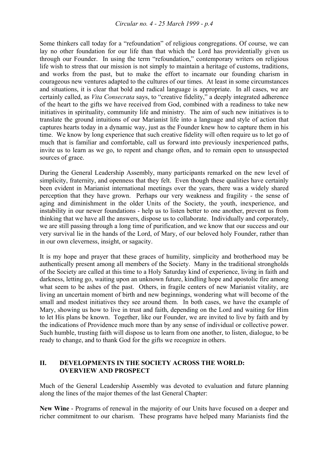Some thinkers call today for a "refoundation" of religious congregations. Of course, we can lay no other foundation for our life than that which the Lord has providentially given us through our Founder. In using the term "refoundation," contemporary writers on religious life wish to stress that our mission is not simply to maintain a heritage of customs, traditions, and works from the past, but to make the effort to incarnate our founding charism in courageous new ventures adapted to the cultures of our times. At least in some circumstances and situations, it is clear that bold and radical language is appropriate. In all cases, we are certainly called, as *Vita Consecrata* says, to "creative fidelity," a deeply integrated adherence of the heart to the gifts we have received from God, combined with a readiness to take new initiatives in spirituality, community life and ministry. The aim of such new initiatives is to translate the ground intuitions of our Marianist life into a language and style of action that captures hearts today in a dynamic way, just as the Founder knew how to capture them in his time. We know by long experience that such creative fidelity will often require us to let go of much that is familiar and comfortable, call us forward into previously inexperienced paths, invite us to learn as we go, to repent and change often, and to remain open to unsuspected sources of grace.

During the General Leadership Assembly, many participants remarked on the new level of simplicity, fraternity, and openness that they felt. Even though these qualities have certainly been evident in Marianist international meetings over the years, there was a widely shared perception that they have grown. Perhaps our very weakness and fragility - the sense of aging and diminishment in the older Units of the Society, the youth, inexperience, and instability in our newer foundations - help us to listen better to one another, prevent us from thinking that we have all the answers, dispose us to collaborate. Individually and corporately, we are still passing through a long time of purification, and we know that our success and our very survival lie in the hands of the Lord, of Mary, of our beloved holy Founder, rather than in our own cleverness, insight, or sagacity.

It is my hope and prayer that these graces of humility, simplicity and brotherhood may be authentically present among all members of the Society. Many in the traditional strongholds of the Society are called at this time to a Holy Saturday kind of experience, living in faith and darkness, letting go, waiting upon an unknown future, kindling hope and apostolic fire among what seem to be ashes of the past. Others, in fragile centers of new Marianist vitality, are living an uncertain moment of birth and new beginnings, wondering what will become of the small and modest initiatives they see around them. In both cases, we have the example of Mary, showing us how to live in trust and faith, depending on the Lord and waiting for Him to let His plans be known. Together, like our Founder, we are invited to live by faith and by the indications of Providence much more than by any sense of individual or collective power. Such humble, trusting faith will dispose us to learn from one another, to listen, dialogue, to be ready to change, and to thank God for the gifts we recognize in others.

# **II. DEVELOPMENTS IN THE SOCIETY ACROSS THE WORLD: OVERVIEW AND PROSPECT**

Much of the General Leadership Assembly was devoted to evaluation and future planning along the lines of the major themes of the last General Chapter:

**New Wine** - Programs of renewal in the majority of our Units have focused on a deeper and richer commitment to our charism. These programs have helped many Marianists find the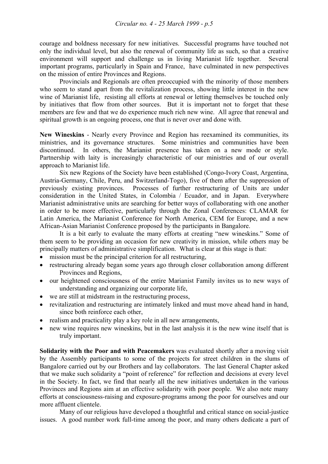courage and boldness necessary for new initiatives. Successful programs have touched not only the individual level, but also the renewal of community life as such, so that a creative environment will support and challenge us in living Marianist life together. Several important programs, particularly in Spain and France, have culminated in new perspectives on the mission of entire Provinces and Regions.

 Provincials and Regionals are often preoccupied with the minority of those members who seem to stand apart from the revitalization process, showing little interest in the new wine of Marianist life, resisting all efforts at renewal or letting themselves be touched only by initiatives that flow from other sources. But it is important not to forget that these members are few and that we do experience much rich new wine. All agree that renewal and spiritual growth is an ongoing process, one that is never over and done with.

**New Wineskins** - Nearly every Province and Region has reexamined its communities, its ministries, and its governance structures. Some ministries and communities have been discontinued. In others, the Marianist presence has taken on a new mode or style. Partnership with laity is increasingly characteristic of our ministries and of our overall approach to Marianist life.

 Six new Regions of the Society have been established (Congo-Ivory Coast, Argentina, Austria-Germany, Chile, Peru, and Switzerland-Togo), five of them after the suppression of previously existing provinces. Processes of further restructuring of Units are under consideration in the United States, in Colombia / Ecuador, and in Japan. Everywhere Marianist administrative units are searching for better ways of collaborating with one another in order to be more effective, particularly through the Zonal Conferences: CLAMAR for Latin America, the Marianist Conference for North America, CEM for Europe, and a new African-Asian Marianist Conference proposed by the participants in Bangalore.

 It is a bit early to evaluate the many efforts at creating "new wineskins." Some of them seem to be providing an occasion for new creativity in mission, while others may be principally matters of administrative simplification. What is clear at this stage is that:

- mission must be the principal criterion for all restructuring,
- restructuring already began some years ago through closer collaboration among different Provinces and Regions,
- our heightened consciousness of the entire Marianist Family invites us to new ways of understanding and organizing our corporate life,
- we are still at midstream in the restructuring process,
- revitalization and restructuring are intimately linked and must move ahead hand in hand, since both reinforce each other,
- realism and practicality play a key role in all new arrangements,
- new wine requires new wineskins, but in the last analysis it is the new wine itself that is truly important.

**Solidarity with the Poor and with Peacemakers** was evaluated shortly after a moving visit by the Assembly participants to some of the projects for street children in the slums of Bangalore carried out by our Brothers and lay collaborators. The last General Chapter asked that we make such solidarity a "point of reference" for reflection and decisions at every level in the Society. In fact, we find that nearly all the new initiatives undertaken in the various Provinces and Regions aim at an effective solidarity with poor people. We also note many efforts at consciousness-raising and exposure-programs among the poor for ourselves and our more affluent clientele.

 Many of our religious have developed a thoughtful and critical stance on social-justice issues. A good number work full-time among the poor, and many others dedicate a part of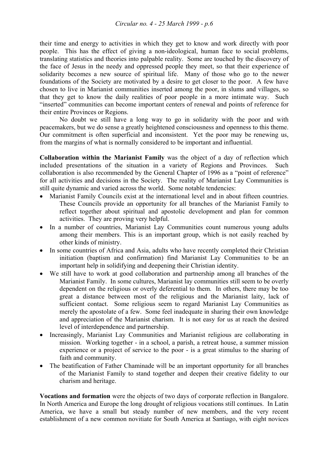their time and energy to activities in which they get to know and work directly with poor people. This has the effect of giving a non-ideological, human face to social problems, translating statistics and theories into palpable reality. Some are touched by the discovery of the face of Jesus in the needy and oppressed people they meet, so that their experience of solidarity becomes a new source of spiritual life. Many of those who go to the newer foundations of the Society are motivated by a desire to get closer to the poor. A few have chosen to live in Marianist communities inserted among the poor, in slums and villages, so that they get to know the daily realities of poor people in a more intimate way. Such "inserted" communities can become important centers of renewal and points of reference for their entire Provinces or Regions.

 No doubt we still have a long way to go in solidarity with the poor and with peacemakers, but we do sense a greatly heightened consciousness and openness to this theme. Our commitment is often superficial and inconsistent. Yet the poor may be renewing us, from the margins of what is normally considered to be important and influential.

**Collaboration within the Marianist Family** was the object of a day of reflection which included presentations of the situation in a variety of Regions and Provinces. Such collaboration is also recommended by the General Chapter of 1996 as a "point of reference" for all activities and decisions in the Society. The reality of Marianist Lay Communities is still quite dynamic and varied across the world. Some notable tendencies:

- Marianist Family Councils exist at the international level and in about fifteen countries. These Councils provide an opportunity for all branches of the Marianist Family to reflect together about spiritual and apostolic development and plan for common activities. They are proving very helpful.
- In a number of countries, Marianist Lay Communities count numerous young adults among their members. This is an important group, which is not easily reached by other kinds of ministry.
- In some countries of Africa and Asia, adults who have recently completed their Christian initiation (baptism and confirmation) find Marianist Lay Communities to be an important help in solidifying and deepening their Christian identity.
- We still have to work at good collaboration and partnership among all branches of the Marianist Family. In some cultures, Marianist lay communities still seem to be overly dependent on the religious or overly deferential to them. In others, there may be too great a distance between most of the religious and the Marianist laity, lack of sufficient contact. Some religious seem to regard Marianist Lay Communities as merely the apostolate of a few. Some feel inadequate in sharing their own knowledge and appreciation of the Marianist charism. It is not easy for us at reach the desired level of interdependence and partnership.
- Increasingly, Marianist Lay Communities and Marianist religious are collaborating in mission. Working together - in a school, a parish, a retreat house, a summer mission experience or a project of service to the poor - is a great stimulus to the sharing of faith and community.
- The beatification of Father Chaminade will be an important opportunity for all branches of the Marianist Family to stand together and deepen their creative fidelity to our charism and heritage.

**Vocations and formation** were the objects of two days of corporate reflection in Bangalore. In North America and Europe the long drought of religious vocations still continues. In Latin America, we have a small but steady number of new members, and the very recent establishment of a new common novitiate for South America at Santiago, with eight novices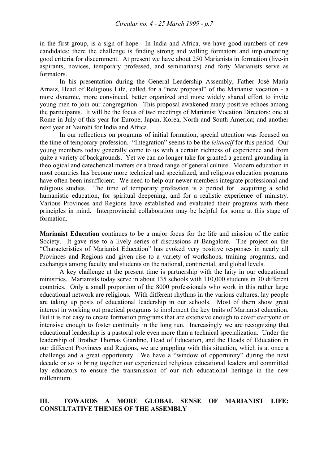in the first group, is a sign of hope. In India and Africa, we have good numbers of new candidates; there the challenge is finding strong and willing formators and implementing good criteria for discernment. At present we have about 250 Marianists in formation (live-in aspirants, novices, temporary professed, and seminarians) and forty Marianists serve as formators.

 In his presentation during the General Leadership Assembly, Father José María Arnaiz, Head of Religious Life, called for a "new proposal" of the Marianist vocation - a more dynamic, more convinced, better organized and more widely shared effort to invite young men to join our congregation. This proposal awakened many positive echoes among the participants. It will be the focus of two meetings of Marianist Vocation Directors: one at Rome in July of this year for Europe, Japan, Korea, North and South America; and another next year at Nairobi for India and Africa.

 In our reflections on programs of initial formation, special attention was focused on the time of temporary profession. "Integration" seems to be the *leitmotif* for this period. Our young members today generally come to us with a certain richness of experience and from quite a variety of backgrounds. Yet we can no longer take for granted a general grounding in theological and catechetical matters or a broad range of general culture. Modern education in most countries has become more technical and specialized, and religious education programs have often been insufficient. We need to help our newer members integrate professional and religious studies. The time of temporary profession is a period for acquiring a solid humanistic education, for spiritual deepening, and for a realistic experience of ministry. Various Provinces and Regions have established and evaluated their programs with these principles in mind. Interprovincial collaboration may be helpful for some at this stage of formation.

**Marianist Education** continues to be a major focus for the life and mission of the entire Society. It gave rise to a lively series of discussions at Bangalore. The project on the "Characteristics of Marianist Education" has evoked very positive responses in nearly all Provinces and Regions and given rise to a variety of workshops, training programs, and exchanges among faculty and students on the national, continental, and global levels.

 A key challenge at the present time is partnership with the laity in our educational ministries. Marianists today serve in about 135 schools with 110,000 students in 30 different countries. Only a small proportion of the 8000 professionals who work in this rather large educational network are religious. With different rhythms in the various cultures, lay people are taking up posts of educational leadership in our schools. Most of them show great interest in working out practical programs to implement the key traits of Marianist education. But it is not easy to create formation programs that are extensive enough to cover everyone or intensive enough to foster continuity in the long run. Increasingly we are recognizing that educational leadership is a pastoral role even more than a technical specialization. Under the leadership of Brother Thomas Giardino, Head of Education, and the Heads of Education in our different Provinces and Regions, we are grappling with this situation, which is at once a challenge and a great opportunity. We have a "window of opportunity" during the next decade or so to bring together our experienced religious educational leaders and committed lay educators to ensure the transmission of our rich educational heritage in the new millennium.

## **III. TOWARDS A MORE GLOBAL SENSE OF MARIANIST LIFE: CONSULTATIVE THEMES OF THE ASSEMBLY**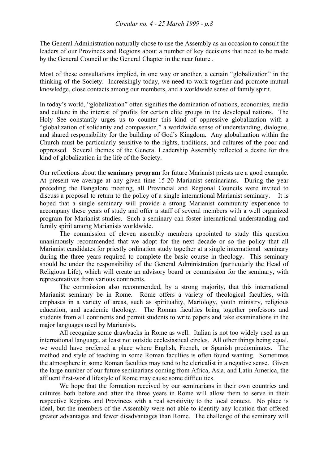The General Administration naturally chose to use the Assembly as an occasion to consult the leaders of our Provinces and Regions about a number of key decisions that need to be made by the General Council or the General Chapter in the near future .

Most of these consultations implied, in one way or another, a certain "globalization" in the thinking of the Society. Increasingly today, we need to work together and promote mutual knowledge, close contacts among our members, and a worldwide sense of family spirit.

In today's world, "globalization" often signifies the domination of nations, economies, media and culture in the interest of profits for certain elite groups in the developed nations. The Holy See constantly urges us to counter this kind of oppressive globalization with a "globalization of solidarity and compassion," a worldwide sense of understanding, dialogue, and shared responsibility for the building of God's Kingdom. Any globalization within the Church must be particularly sensitive to the rights, traditions, and cultures of the poor and oppressed. Several themes of the General Leadership Assembly reflected a desire for this kind of globalization in the life of the Society.

Our reflections about the **seminary program** for future Marianist priests are a good example. At present we average at any given time 15-20 Marianist seminarians. During the year preceding the Bangalore meeting, all Provincial and Regional Councils were invited to discuss a proposal to return to the policy of a single international Marianist seminary. It is hoped that a single seminary will provide a strong Marianist community experience to accompany these years of study and offer a staff of several members with a well organized program for Marianist studies. Such a seminary can foster international understanding and family spirit among Marianists worldwide.

 The commission of eleven assembly members appointed to study this question unanimously recommended that we adopt for the next decade or so the policy that all Marianist candidates for priestly ordination study together at a single international seminary during the three years required to complete the basic course in theology. This seminary should be under the responsibility of the General Administration (particularly the Head of Religious Life), which will create an advisory board or commission for the seminary, with representatives from various continents.

 The commission also recommended, by a strong majority, that this international Marianist seminary be in Rome. Rome offers a variety of theological faculties, with emphases in a variety of areas, such as spirituality, Mariology, youth ministry, religious education, and academic theology. The Roman faculties bring together professors and students from all continents and permit students to write papers and take examinations in the major languages used by Marianists.

 All recognize some drawbacks in Rome as well. Italian is not too widely used as an international language, at least not outside ecclesiastical circles. All other things being equal, we would have preferred a place where English, French, or Spanish predominates. The method and style of teaching in some Roman faculties is often found wanting. Sometimes the atmosphere in some Roman faculties may tend to be clericalist in a negative sense. Given the large number of our future seminarians coming from Africa, Asia, and Latin America, the affluent first-world lifestyle of Rome may cause some difficulties.

 We hope that the formation received by our seminarians in their own countries and cultures both before and after the three years in Rome will allow them to serve in their respective Regions and Provinces with a real sensitivity to the local context. No place is ideal, but the members of the Assembly were not able to identify any location that offered greater advantages and fewer disadvantages than Rome. The challenge of the seminary will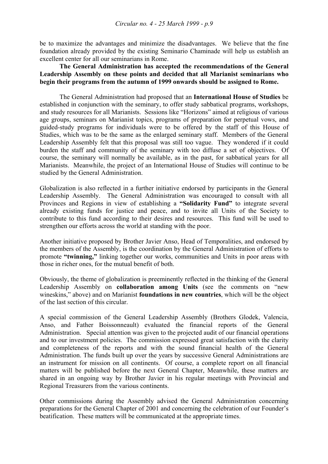be to maximize the advantages and minimize the disadvantages. We believe that the fine foundation already provided by the existing Seminario Chaminade will help us establish an excellent center for all our seminarians in Rome.

### **The General Administration has accepted the recommendations of the General Leadership Assembly on these points and decided that all Marianist seminarians who begin their programs from the autumn of 1999 onwards should be assigned to Rome.**

 The General Administration had proposed that an **International House of Studies** be established in conjunction with the seminary, to offer study sabbatical programs, workshops, and study resources for all Marianists. Sessions like "Horizons" aimed at religious of various age groups, seminars on Marianist topics, programs of preparation for perpetual vows, and guided-study programs for individuals were to be offered by the staff of this House of Studies, which was to be the same as the enlarged seminary staff. Members of the General Leadership Assembly felt that this proposal was still too vague. They wondered if it could burden the staff and community of the seminary with too diffuse a set of objectives. Of course, the seminary will normally be available, as in the past, for sabbatical years for all Marianists. Meanwhile, the project of an International House of Studies will continue to be studied by the General Administration.

Globalization is also reflected in a further initiative endorsed by participants in the General Leadership Assembly. The General Administration was encouraged to consult with all Provinces and Regions in view of establishing a **"Solidarity Fund"** to integrate several already existing funds for justice and peace, and to invite all Units of the Society to contribute to this fund according to their desires and resources. This fund will be used to strengthen our efforts across the world at standing with the poor.

Another initiative proposed by Brother Javier Anso, Head of Temporalities, and endorsed by the members of the Assembly, is the coordination by the General Administration of efforts to promote **"twinning,"** linking together our works, communities and Units in poor areas with those in richer ones, for the mutual benefit of both.

Obviously, the theme of globalization is preeminently reflected in the thinking of the General Leadership Assembly on **collaboration among Units** (see the comments on "new wineskins," above) and on Marianist **foundations in new countries**, which will be the object of the last section of this circular.

A special commission of the General Leadership Assembly (Brothers Glodek, Valencia, Anso, and Father Boissonneault) evaluated the financial reports of the General Administration. Special attention was given to the projected audit of our financial operations and to our investment policies. The commission expressed great satisfaction with the clarity and completeness of the reports and with the sound financial health of the General Administration. The funds built up over the years by successive General Administrations are an instrument for mission on all continents. Of course, a complete report on all financial matters will be published before the next General Chapter, Meanwhile, these matters are shared in an ongoing way by Brother Javier in his regular meetings with Provincial and Regional Treasurers from the various continents.

Other commissions during the Assembly advised the General Administration concerning preparations for the General Chapter of 2001 and concerning the celebration of our Founder's beatification. These matters will be communicated at the appropriate times.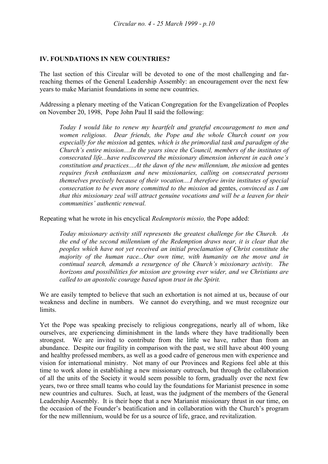#### **IV. FOUNDATIONS IN NEW COUNTRIES?**

The last section of this Circular will be devoted to one of the most challenging and farreaching themes of the General Leadership Assembly: an encouragement over the next few years to make Marianist foundations in some new countries.

Addressing a plenary meeting of the Vatican Congregation for the Evangelization of Peoples on November 20, 1998, Pope John Paul II said the following:

*Today I would like to renew my heartfelt and grateful encouragement to men and women religious. Dear friends, the Pope and the whole Church count on you especially for the mission* ad gentes*, which is the primordial task and paradigm of the Church's entire mission....In the years since the Council, members of the institutes of consecrated life...have rediscovered the missionary dimension inherent in each one's constitution and practices....At the dawn of the new millennium, the mission* ad gentes *requires fresh enthusiasm and new missionaries, calling on consecrated persons themselves precisely because of their vocation....I therefore invite institutes of special consecration to be even more committed to the mission* ad gentes, *convinced as I am that this missionary zeal will attract genuine vocations and will be a leaven for their communities' authentic renewal.* 

Repeating what he wrote in his encyclical *Redemptoris missio,* the Pope added:

*Today missionary activity still represents the greatest challenge for the Church. As the end of the second millennium of the Redemption draws near, it is clear that the peoples which have not yet received an initial proclamation of Christ constitute the majority of the human race...Our own time, with humanity on the move and in continual search, demands a resurgence of the Church's missionary activity. The horizons and possibilities for mission are growing ever wider, and we Christians are called to an apostolic courage based upon trust in the Spirit.*

We are easily tempted to believe that such an exhortation is not aimed at us, because of our weakness and decline in numbers. We cannot do everything, and we must recognize our limits.

Yet the Pope was speaking precisely to religious congregations, nearly all of whom, like ourselves, are experiencing diminishment in the lands where they have traditionally been strongest. We are invited to contribute from the little we have, rather than from an abundance. Despite our fragility in comparison with the past, we still have about 400 young and healthy professed members, as well as a good cadre of generous men with experience and vision for international ministry. Not many of our Provinces and Regions feel able at this time to work alone in establishing a new missionary outreach, but through the collaboration of all the units of the Society it would seem possible to form, gradually over the next few years, two or three small teams who could lay the foundations for Marianist presence in some new countries and cultures. Such, at least, was the judgment of the members of the General Leadership Assembly. It is their hope that a new Marianist missionary thrust in our time, on the occasion of the Founder's beatification and in collaboration with the Church's program for the new millennium, would be for us a source of life, grace, and revitalization.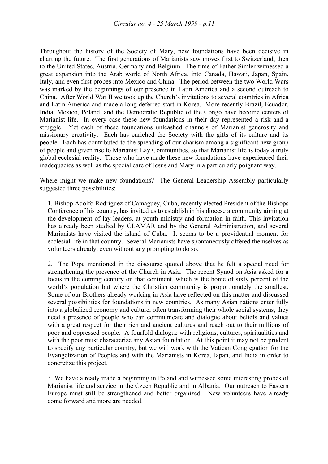Throughout the history of the Society of Mary, new foundations have been decisive in charting the future. The first generations of Marianists saw moves first to Switzerland, then to the United States, Austria, Germany and Belgium. The time of Father Simler witnessed a great expansion into the Arab world of North Africa, into Canada, Hawaii, Japan, Spain, Italy, and even first probes into Mexico and China. The period between the two World Wars was marked by the beginnings of our presence in Latin America and a second outreach to China. After World War II we took up the Church's invitations to several countries in Africa and Latin America and made a long deferred start in Korea. More recently Brazil, Ecuador, India, Mexico, Poland, and the Democratic Republic of the Congo have become centers of Marianist life. In every case these new foundations in their day represented a risk and a struggle. Yet each of these foundations unleashed channels of Marianist generosity and missionary creativity. Each has enriched the Society with the gifts of its culture and its people. Each has contributed to the spreading of our charism among a significant new group of people and given rise to Marianist Lay Communities, so that Marianist life is today a truly global ecclesial reality. Those who have made these new foundations have experienced their inadequacies as well as the special care of Jesus and Mary in a particularly poignant way.

Where might we make new foundations? The General Leadership Assembly particularly suggested three possibilities:

1. Bishop Adolfo Rodriguez of Camaguey, Cuba, recently elected President of the Bishops Conference of his country, has invited us to establish in his diocese a community aiming at the development of lay leaders, at youth ministry and formation in faith. This invitation has already been studied by CLAMAR and by the General Administration, and several Marianists have visited the island of Cuba. It seems to be a providential moment for ecclesial life in that country. Several Marianists have spontaneously offered themselves as volunteers already, even without any prompting to do so.

2. The Pope mentioned in the discourse quoted above that he felt a special need for strengthening the presence of the Church in Asia. The recent Synod on Asia asked for a focus in the coming century on that continent, which is the home of sixty percent of the world's population but where the Christian community is proportionately the smallest. Some of our Brothers already working in Asia have reflected on this matter and discussed several possibilities for foundations in new countries. As many Asian nations enter fully into a globalized economy and culture, often transforming their whole social systems, they need a presence of people who can communicate and dialogue about beliefs and values with a great respect for their rich and ancient cultures and reach out to their millions of poor and oppressed people. A fourfold dialogue with religions, cultures, spiritualities and with the poor must characterize any Asian foundation. At this point it may not be prudent to specify any particular country, but we will work with the Vatican Congregation for the Evangelization of Peoples and with the Marianists in Korea, Japan, and India in order to concretize this project.

3. We have already made a beginning in Poland and witnessed some interesting probes of Marianist life and service in the Czech Republic and in Albania. Our outreach to Eastern Europe must still be strengthened and better organized. New volunteers have already come forward and more are needed.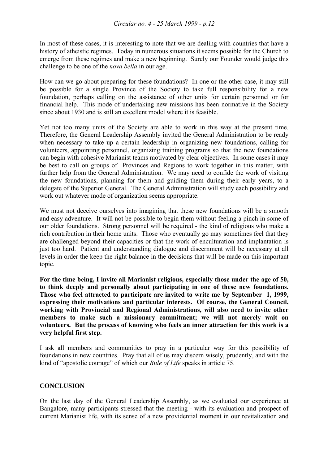In most of these cases, it is interesting to note that we are dealing with countries that have a history of atheistic regimes. Today in numerous situations it seems possible for the Church to emerge from these regimes and make a new beginning. Surely our Founder would judge this challenge to be one of the *nova bella* in our age.

How can we go about preparing for these foundations? In one or the other case, it may still be possible for a single Province of the Society to take full responsibility for a new foundation, perhaps calling on the assistance of other units for certain personnel or for financial help. This mode of undertaking new missions has been normative in the Society since about 1930 and is still an excellent model where it is feasible.

Yet not too many units of the Society are able to work in this way at the present time. Therefore, the General Leadership Assembly invited the General Administration to be ready when necessary to take up a certain leadership in organizing new foundations, calling for volunteers, appointing personnel, organizing training programs so that the new foundations can begin with cohesive Marianist teams motivated by clear objectives. In some cases it may be best to call on groups of Provinces and Regions to work together in this matter, with further help from the General Administration. We may need to confide the work of visiting the new foundations, planning for them and guiding them during their early years, to a delegate of the Superior General. The General Administration will study each possibility and work out whatever mode of organization seems appropriate.

We must not deceive ourselves into imagining that these new foundations will be a smooth and easy adventure. It will not be possible to begin them without feeling a pinch in some of our older foundations. Strong personnel will be required - the kind of religious who make a rich contribution in their home units. Those who eventually go may sometimes feel that they are challenged beyond their capacities or that the work of enculturation and implantation is just too hard. Patient and understanding dialogue and discernment will be necessary at all levels in order the keep the right balance in the decisions that will be made on this important topic.

**For the time being, I invite all Marianist religious, especially those under the age of 50, to think deeply and personally about participating in one of these new foundations. Those who feel attracted to participate are invited to write me by September 1, 1999, expressing their motivations and particular interests. Of course, the General Council, working with Provincial and Regional Administrations, will also need to invite other members to make such a missionary commitment; we will not merely wait on volunteers. But the process of knowing who feels an inner attraction for this work is a very helpful first step.** 

I ask all members and communities to pray in a particular way for this possibility of foundations in new countries. Pray that all of us may discern wisely, prudently, and with the kind of "apostolic courage" of which our *Rule of Life* speaks in article 75.

# **CONCLUSION**

On the last day of the General Leadership Assembly, as we evaluated our experience at Bangalore, many participants stressed that the meeting - with its evaluation and prospect of current Marianist life, with its sense of a new providential moment in our revitalization and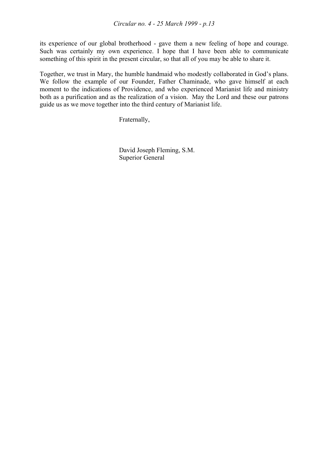its experience of our global brotherhood - gave them a new feeling of hope and courage. Such was certainly my own experience. I hope that I have been able to communicate something of this spirit in the present circular, so that all of you may be able to share it.

Together, we trust in Mary, the humble handmaid who modestly collaborated in God's plans. We follow the example of our Founder, Father Chaminade, who gave himself at each moment to the indications of Providence, and who experienced Marianist life and ministry both as a purification and as the realization of a vision. May the Lord and these our patrons guide us as we move together into the third century of Marianist life.

Fraternally,

 David Joseph Fleming, S.M. Superior General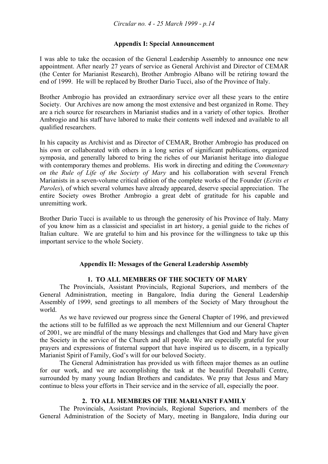# **Appendix I: Special Announcement**

I was able to take the occasion of the General Leadership Assembly to announce one new appointment. After nearly 27 years of service as General Archivist and Director of CEMAR (the Center for Marianist Research), Brother Ambrogio Albano will be retiring toward the end of 1999. He will be replaced by Brother Dario Tucci, also of the Province of Italy.

Brother Ambrogio has provided an extraordinary service over all these years to the entire Society. Our Archives are now among the most extensive and best organized in Rome. They are a rich source for researchers in Marianist studies and in a variety of other topics. Brother Ambrogio and his staff have labored to make their contents well indexed and available to all qualified researchers.

In his capacity as Archivist and as Director of CEMAR, Brother Ambrogio has produced on his own or collaborated with others in a long series of significant publications, organized symposia, and generally labored to bring the riches of our Marianist heritage into dialogue with contemporary themes and problems. His work in directing and editing the *Commentary on the Rule of Life of the Society of Mary* and his collaboration with several French Marianists in a seven-volume critical edition of the complete works of the Founder (*Ecrits et Paroles*), of which several volumes have already appeared, deserve special appreciation. The entire Society owes Brother Ambrogio a great debt of gratitude for his capable and unremitting work.

Brother Dario Tucci is available to us through the generosity of his Province of Italy. Many of you know him as a classicist and specialist in art history, a genial guide to the riches of Italian culture. We are grateful to him and his province for the willingness to take up this important service to the whole Society.

# **Appendix II: Messages of the General Leadership Assembly**

#### **1. TO ALL MEMBERS OF THE SOCIETY OF MARY**

 The Provincials, Assistant Provincials, Regional Superiors, and members of the General Administration, meeting in Bangalore, India during the General Leadership Assembly of 1999, send greetings to all members of the Society of Mary throughout the world.

 As we have reviewed our progress since the General Chapter of 1996, and previewed the actions still to be fulfilled as we approach the next Millennium and our General Chapter of 2001, we are mindful of the many blessings and challenges that God and Mary have given the Society in the service of the Church and all people. We are especially grateful for your prayers and expressions of fraternal support that have inspired us to discern, in a typically Marianist Spirit of Family, God's will for our beloved Society.

 The General Administration has provided us with fifteen major themes as an outline for our work, and we are accomplishing the task at the beautiful Deepahalli Centre, surrounded by many young Indian Brothers and candidates. We pray that Jesus and Mary continue to bless your efforts in Their service and in the service of all, especially the poor.

#### **2. TO ALL MEMBERS OF THE MARIANIST FAMILY**

 The Provincials, Assistant Provincials, Regional Superiors, and members of the General Administration of the Society of Mary, meeting in Bangalore, India during our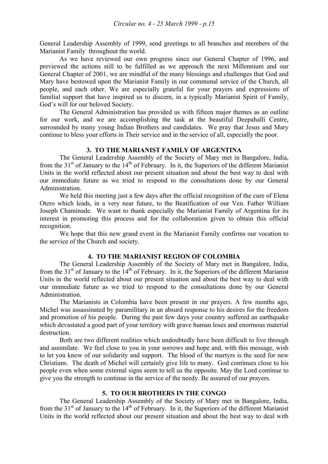General Leadership Assembly of 1999, send greetings to all branches and members of the Marianist Family throughout the world.

 As we have reviewed our own progress since our General Chapter of 1996, and previewed the actions still to be fulfilled as we approach the next Millennium and our General Chapter of 2001, we are mindful of the many blessings and challenges that God and Mary have bestowed upon the Marianist Family in our communal service of the Church, all people, and each other. We are especially grateful for your prayers and expressions of familial support that have inspired us to discern, in a typically Marianist Spirit of Family, God's will for our beloved Society.

 The General Administration has provided us with fifteen major themes as an outline for our work, and we are accomplishing the task at the beautiful Deepahalli Centre, surrounded by many young Indian Brothers and candidates. We pray that Jesus and Mary continue to bless your efforts in Their service and in the service of all, especially the poor.

#### **3. TO THE MARIANIST FAMILY OF ARGENTINA**

 The General Leadership Assembly of the Society of Mary met in Bangalore, India, from the 31<sup>st</sup> of January to the 14<sup>th</sup> of February. In it, the Superiors of the different Marianist Units in the world reflected about our present situation and about the best way to deal with our immediate future as we tried to respond to the consultations done by our General Administration.

 We held this meeting just a few days after the official recognition of the cure of Elena Otero which leads, in a very near future, to the Beatification of our Ven. Father William Joseph Chaminade. We want to thank especially the Marianist Family of Argentina for its interest in promoting this process and for the collaboration given to obtain this official recognition.

 We hope that this new grand event in the Marianist Family confirms our vocation to the service of the Church and society.

# **4. TO THE MARIANIST REGION OF COLOMBIA**

 The General Leadership Assembly of the Society of Mary met in Bangalore, India, from the  $31<sup>st</sup>$  of January to the  $14<sup>th</sup>$  of February. In it, the Superiors of the different Marianist Units in the world reflected about our present situation and about the best way to deal with our immediate future as we tried to respond to the consultations done by our General Administration.

 The Marianists in Colombia have been present in our prayers. A few months ago, Michel was assassinated by paramilitary in an absurd response to his desires for the freedom and promotion of his people. During the past few days your country suffered an earthquake which devastated a good part of your territory with grave human loses and enormous material destruction.

 Both are two different realities which undoubtedly have been difficult to live through and assimilate. We feel close to you in your sorrows and hope and, with this message, wish to let you know of our solidarity and support. The blood of the martyrs is the seed for new Christians. The death of Michel will certainly give life to many. God continues close to his people even when some external signs seem to tell us the opposite. May the Lord continue to give you the strength to continue in the service of the needy. Be assured of our prayers.

#### **5. TO OUR BROTHERS IN THE CONGO**

 The General Leadership Assembly of the Society of Mary met in Bangalore, India, from the  $31<sup>st</sup>$  of January to the  $14<sup>th</sup>$  of February. In it, the Superiors of the different Marianist Units in the world reflected about our present situation and about the best way to deal with